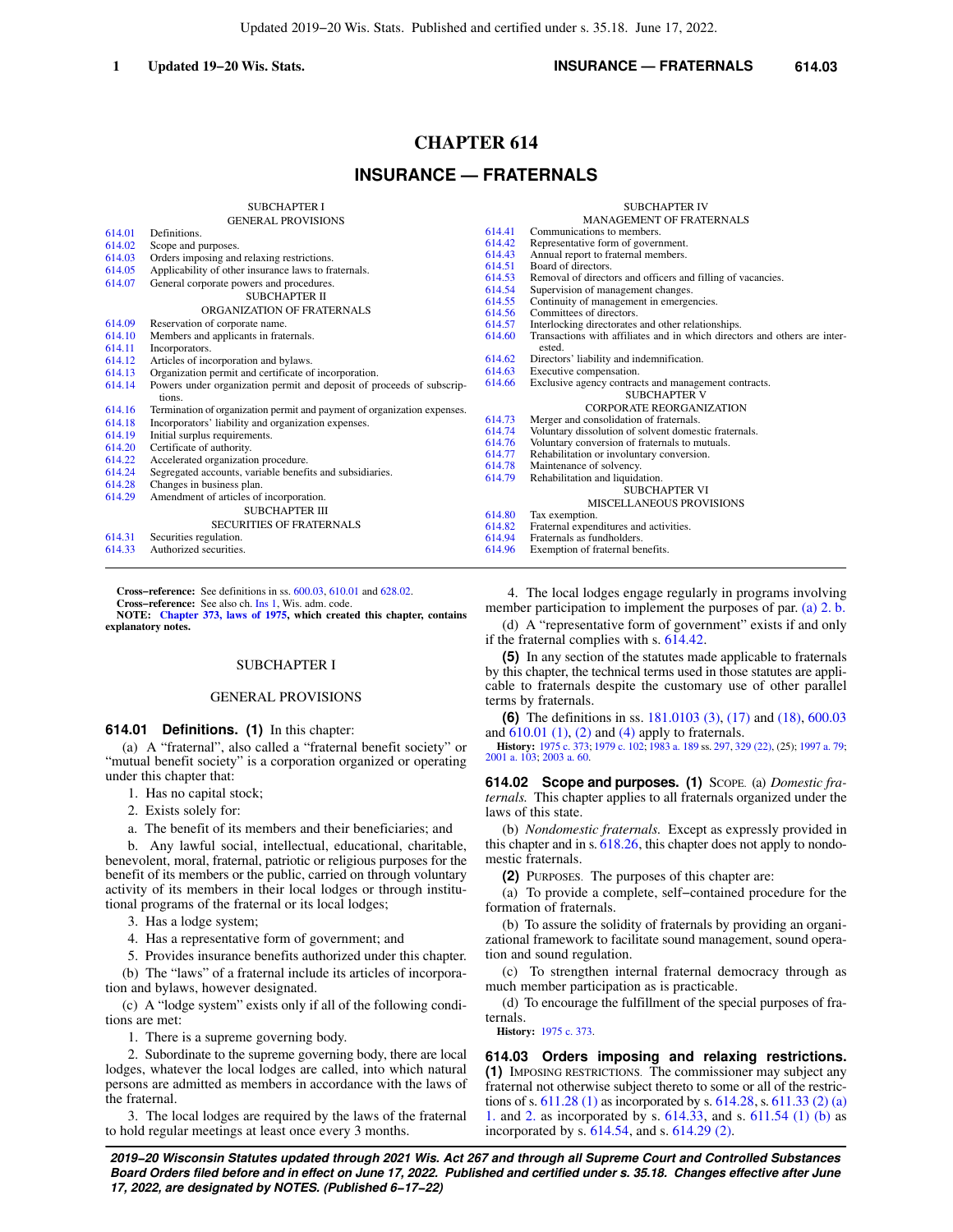## **1 Updated 19−20 Wis. Stats. INSURANCE — FRATERNALS 614.03**

# **CHAPTER 614**

# **INSURANCE — FRATERNALS**

| SUBCHAPTER I |  |  |  |  |  |  |  |
|--------------|--|--|--|--|--|--|--|
|              |  |  |  |  |  |  |  |

|        | <b>GENERAL PROVISIONS</b>                                                |                  |                          |
|--------|--------------------------------------------------------------------------|------------------|--------------------------|
| 614.01 | Definitions.                                                             | 614.41           | Communi                  |
| 614.02 | Scope and purposes.                                                      | 614.42           | Represent                |
| 614.03 | Orders imposing and relaxing restrictions.                               | 614.43           | Annual re                |
| 614.05 | Applicability of other insurance laws to fraternals.                     | 614.51           | Board of                 |
| 614.07 | General corporate powers and procedures.                                 | 614.53           | Removal                  |
|        | SUBCHAPTER II                                                            | 614.54           | Supervisio               |
|        | ORGANIZATION OF FRATERNALS                                               | 614.55           | Continuit                |
| 614.09 | Reservation of corporate name.                                           | 614.56           | Committe                 |
| 614.10 |                                                                          | 614.57<br>614.60 | Interlocki<br>Transactio |
| 614.11 | Members and applicants in fraternals.<br>Incorporators.                  |                  | ested.                   |
| 614.12 | Articles of incorporation and bylaws.                                    | 614.62           | Directors'               |
| 614.13 | Organization permit and certificate of incorporation.                    | 614.63           | Executive                |
| 614.14 | Powers under organization permit and deposit of proceeds of subscrip-    | 614.66           | Exclusive                |
|        | tions.                                                                   |                  |                          |
| 614.16 | Termination of organization permit and payment of organization expenses. |                  |                          |
| 614.18 | Incorporators' liability and organization expenses.                      | 614.73           | Merger ar                |
| 614.19 | Initial surplus requirements.                                            | 614.74           | Voluntary                |
| 614.20 | Certificate of authority.                                                | 614.76           | Voluntary                |
| 614.22 | Accelerated organization procedure.                                      | 614.77<br>614.78 | Rehabilita               |
| 614.24 | Segregated accounts, variable benefits and subsidiaries.                 | 614.79           | Maintenar<br>Rehabilita  |
| 614.28 | Changes in business plan.                                                |                  |                          |
| 614.29 | Amendment of articles of incorporation.                                  |                  |                          |
|        | <b>SUBCHAPTER III</b>                                                    | 614.80           | Tax exem                 |
|        | <b>SECURITIES OF FRATERNALS</b>                                          | 614.82           | Fraternal                |
| 614.31 | Securities regulation.                                                   | 614.94           | Fraternals               |
| 614.33 | Authorized securities.                                                   | 614.96           | Exemptio                 |
|        |                                                                          |                  |                          |

**Cross−reference:** See definitions in ss. [600.03](https://docs.legis.wisconsin.gov/document/statutes/600.03), [610.01](https://docs.legis.wisconsin.gov/document/statutes/610.01) and [628.02.](https://docs.legis.wisconsin.gov/document/statutes/628.02)

**Cross−reference:** See also ch. [Ins 1,](https://docs.legis.wisconsin.gov/document/administrativecode/ch.%20Ins%201) Wis. adm. code.

**NOTE: [Chapter 373, laws of 1975](https://docs.legis.wisconsin.gov/document/acts/1975/373), which created this chapter, contains explanatory notes.**

## SUBCHAPTER I

#### GENERAL PROVISIONS

**614.01 Definitions. (1)** In this chapter:

(a) A "fraternal", also called a "fraternal benefit society" or "mutual benefit society" is a corporation organized or operating under this chapter that:

1. Has no capital stock;

2. Exists solely for:

a. The benefit of its members and their beneficiaries; and

b. Any lawful social, intellectual, educational, charitable, benevolent, moral, fraternal, patriotic or religious purposes for the benefit of its members or the public, carried on through voluntary activity of its members in their local lodges or through institutional programs of the fraternal or its local lodges;

3. Has a lodge system;

4. Has a representative form of government; and

5. Provides insurance benefits authorized under this chapter.

(b) The "laws" of a fraternal include its articles of incorporation and bylaws, however designated.

(c) A "lodge system" exists only if all of the following conditions are met:

1. There is a supreme governing body.

2. Subordinate to the supreme governing body, there are local lodges, whatever the local lodges are called, into which natural persons are admitted as members in accordance with the laws of the fraternal.

3. The local lodges are required by the laws of the fraternal to hold regular meetings at least once every 3 months.

|        | <b>SUBCHAPTER IV</b>                                                               |
|--------|------------------------------------------------------------------------------------|
|        | <b>MANAGEMENT OF FRATERNALS</b>                                                    |
| 614 41 | Communications to members.                                                         |
| 614.42 | Representative form of government.                                                 |
| 614.43 | Annual report to fraternal members.                                                |
| 614.51 | Board of directors.                                                                |
| 614.53 | Removal of directors and officers and filling of vacancies.                        |
| 614.54 | Supervision of management changes.                                                 |
| 614.55 | Continuity of management in emergencies.                                           |
| 614.56 | Committees of directors.                                                           |
| 614.57 | Interlocking directorates and other relationships.                                 |
| 614.60 | Transactions with affiliates and in which directors and others are inter-<br>ested |
| 614.62 | Directors' liability and indemnification.                                          |
| 614.63 | Executive compensation.                                                            |
| 614.66 | Exclusive agency contracts and management contracts.                               |
|        | <b>SUBCHAPTER V</b>                                                                |
|        | <b>CORPORATE REORGANIZATION</b>                                                    |
| 614.73 | Merger and consolidation of fraternals.                                            |
| 614.74 | Voluntary dissolution of solvent domestic fraternals.                              |
| 614.76 | Voluntary conversion of fraternals to mutuals.                                     |
| 614.77 | Rehabilitation or involuntary conversion.                                          |
| 614.78 | Maintenance of solvency.                                                           |
| 614.79 | Rehabilitation and liquidation.                                                    |
|        | SUBCHAPTER VI                                                                      |
|        | MISCELLANEOUS PROVISIONS                                                           |
| 614.80 | Tax exemption.                                                                     |
| 614.82 | Fraternal expenditures and activities.                                             |
| 614.94 | Fraternals as fundholders.                                                         |
| 614.96 | Exemption of fraternal benefits.                                                   |

4. The local lodges engage regularly in programs involving member participation to implement the purposes of par. [\(a\) 2. b.](https://docs.legis.wisconsin.gov/document/statutes/614.01(1)(a)2.b.)

(d) A "representative form of government" exists if and only if the fraternal complies with s. [614.42](https://docs.legis.wisconsin.gov/document/statutes/614.42).

**(5)** In any section of the statutes made applicable to fraternals by this chapter, the technical terms used in those statutes are applicable to fraternals despite the customary use of other parallel terms by fraternals.

**(6)** The definitions in ss. [181.0103 \(3\),](https://docs.legis.wisconsin.gov/document/statutes/181.0103(3)) [\(17\)](https://docs.legis.wisconsin.gov/document/statutes/181.0103(17)) and [\(18\),](https://docs.legis.wisconsin.gov/document/statutes/181.0103(18)) [600.03](https://docs.legis.wisconsin.gov/document/statutes/600.03) and  $610.01$  (1), [\(2\)](https://docs.legis.wisconsin.gov/document/statutes/610.01(2)) and [\(4\)](https://docs.legis.wisconsin.gov/document/statutes/610.01(4)) apply to fraternals.

**History:** [1975 c. 373;](https://docs.legis.wisconsin.gov/document/acts/1975/373) [1979 c. 102;](https://docs.legis.wisconsin.gov/document/acts/1979/102) [1983 a. 189](https://docs.legis.wisconsin.gov/document/acts/1983/189) ss. [297](https://docs.legis.wisconsin.gov/document/acts/1983/189,%20s.%20297), [329 \(22\),](https://docs.legis.wisconsin.gov/document/acts/1983/189,%20s.%20329) (25); [1997 a. 79](https://docs.legis.wisconsin.gov/document/acts/1997/79); [2001 a. 103;](https://docs.legis.wisconsin.gov/document/acts/2001/103) [2003 a. 60](https://docs.legis.wisconsin.gov/document/acts/2003/60).

**614.02 Scope and purposes. (1)** SCOPE. (a) *Domestic fraternals.* This chapter applies to all fraternals organized under the laws of this state.

(b) *Nondomestic fraternals.* Except as expressly provided in this chapter and in s. [618.26](https://docs.legis.wisconsin.gov/document/statutes/618.26), this chapter does not apply to nondomestic fraternals.

**(2)** PURPOSES. The purposes of this chapter are:

(a) To provide a complete, self−contained procedure for the formation of fraternals.

(b) To assure the solidity of fraternals by providing an organizational framework to facilitate sound management, sound operation and sound regulation.

(c) To strengthen internal fraternal democracy through as much member participation as is practicable.

(d) To encourage the fulfillment of the special purposes of fraternals.

**History:** [1975 c. 373.](https://docs.legis.wisconsin.gov/document/acts/1975/373)

**614.03 Orders imposing and relaxing restrictions. (1)** IMPOSING RESTRICTIONS. The commissioner may subject any fraternal not otherwise subject thereto to some or all of the restrictions of s. [611.28 \(1\)](https://docs.legis.wisconsin.gov/document/statutes/611.28(1)) as incorporated by s. [614.28,](https://docs.legis.wisconsin.gov/document/statutes/614.28) s. [611.33 \(2\) \(a\)](https://docs.legis.wisconsin.gov/document/statutes/611.33(2)(a)1.) [1.](https://docs.legis.wisconsin.gov/document/statutes/611.33(2)(a)1.) and [2.](https://docs.legis.wisconsin.gov/document/statutes/611.33(2)(a)2.) as incorporated by s. [614.33](https://docs.legis.wisconsin.gov/document/statutes/614.33), and s. [611.54 \(1\) \(b\)](https://docs.legis.wisconsin.gov/document/statutes/611.54(1)(b)) as incorporated by s. [614.54](https://docs.legis.wisconsin.gov/document/statutes/614.54), and s. [614.29 \(2\)](https://docs.legis.wisconsin.gov/document/statutes/614.29(2)).

**2019−20 Wisconsin Statutes updated through 2021 Wis. Act 267 and through all Supreme Court and Controlled Substances Board Orders filed before and in effect on June 17, 2022. Published and certified under s. 35.18. Changes effective after June 17, 2022, are designated by NOTES. (Published 6−17−22)**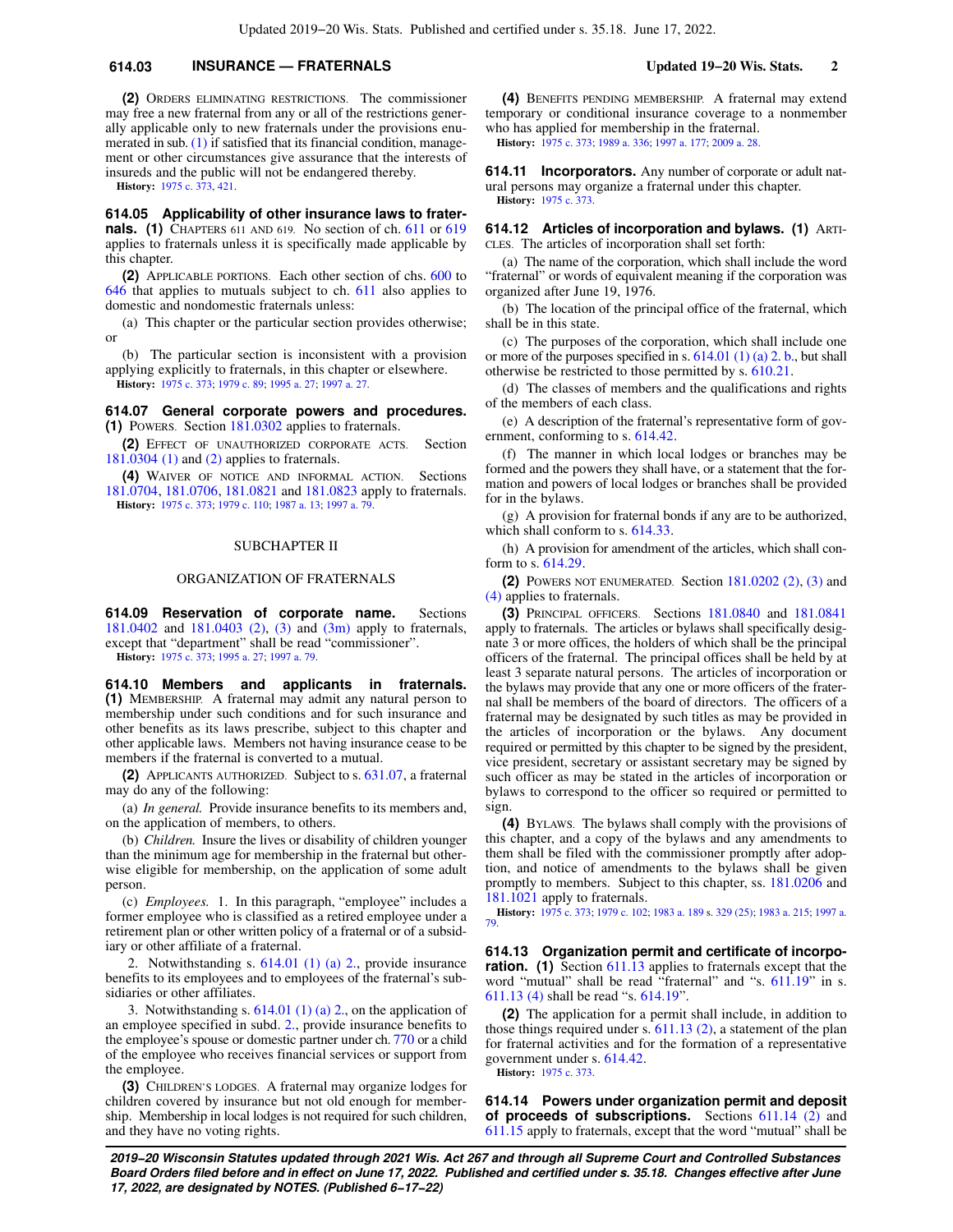## **614.03 INSURANCE — FRATERNALS Updated 19−20 Wis. Stats. 2**

**(2)** ORDERS ELIMINATING RESTRICTIONS. The commissioner may free a new fraternal from any or all of the restrictions generally applicable only to new fraternals under the provisions enumerated in sub. [\(1\)](https://docs.legis.wisconsin.gov/document/statutes/614.03(1)) if satisfied that its financial condition, management or other circumstances give assurance that the interests of insureds and the public will not be endangered thereby.

**History:** [1975 c. 373](https://docs.legis.wisconsin.gov/document/acts/1975/373), [421](https://docs.legis.wisconsin.gov/document/acts/1975/421).

**614.05 Applicability of other insurance laws to fraternals. (1)** CHAPTERS 611 AND 619. No section of ch. [611](https://docs.legis.wisconsin.gov/document/statutes/ch.%20611) or [619](https://docs.legis.wisconsin.gov/document/statutes/ch.%20619) applies to fraternals unless it is specifically made applicable by this chapter.

**(2)** APPLICABLE PORTIONS. Each other section of chs. [600](https://docs.legis.wisconsin.gov/document/statutes/ch.%20600) to [646](https://docs.legis.wisconsin.gov/document/statutes/ch.%20646) that applies to mutuals subject to ch. [611](https://docs.legis.wisconsin.gov/document/statutes/ch.%20611) also applies to domestic and nondomestic fraternals unless:

(a) This chapter or the particular section provides otherwise; or

(b) The particular section is inconsistent with a provision applying explicitly to fraternals, in this chapter or elsewhere. **History:** [1975 c. 373](https://docs.legis.wisconsin.gov/document/acts/1975/373); [1979 c. 89;](https://docs.legis.wisconsin.gov/document/acts/1979/89) [1995 a. 27;](https://docs.legis.wisconsin.gov/document/acts/1995/27) [1997 a. 27.](https://docs.legis.wisconsin.gov/document/acts/1997/27)

**614.07 General corporate powers and procedures. (1)** POWERS. Section [181.0302](https://docs.legis.wisconsin.gov/document/statutes/181.0302) applies to fraternals.

**(2)** EFFECT OF UNAUTHORIZED CORPORATE ACTS. Section [181.0304 \(1\)](https://docs.legis.wisconsin.gov/document/statutes/181.0304(1)) and [\(2\)](https://docs.legis.wisconsin.gov/document/statutes/181.0304(2)) applies to fraternals.

**(4)** WAIVER OF NOTICE AND INFORMAL ACTION. Sections [181.0704,](https://docs.legis.wisconsin.gov/document/statutes/181.0704) [181.0706](https://docs.legis.wisconsin.gov/document/statutes/181.0706), [181.0821](https://docs.legis.wisconsin.gov/document/statutes/181.0821) and [181.0823](https://docs.legis.wisconsin.gov/document/statutes/181.0823) apply to fraternals. **History:** [1975 c. 373](https://docs.legis.wisconsin.gov/document/acts/1975/373); [1979 c. 110;](https://docs.legis.wisconsin.gov/document/acts/1979/110) [1987 a. 13;](https://docs.legis.wisconsin.gov/document/acts/1987/13) [1997 a. 79](https://docs.legis.wisconsin.gov/document/acts/1997/79).

### SUBCHAPTER II

### ORGANIZATION OF FRATERNALS

**614.09 Reservation of corporate name.** Sections [181.0402](https://docs.legis.wisconsin.gov/document/statutes/181.0402) and [181.0403 \(2\),](https://docs.legis.wisconsin.gov/document/statutes/181.0403(2)) [\(3\)](https://docs.legis.wisconsin.gov/document/statutes/181.0403(3)) and [\(3m\)](https://docs.legis.wisconsin.gov/document/statutes/181.0403(3m)) apply to fraternals, except that "department" shall be read "commissioner". **History:** [1975 c. 373](https://docs.legis.wisconsin.gov/document/acts/1975/373); [1995 a. 27;](https://docs.legis.wisconsin.gov/document/acts/1995/27) [1997 a. 79.](https://docs.legis.wisconsin.gov/document/acts/1997/79)

**614.10 Members and applicants in fraternals. (1)** MEMBERSHIP. A fraternal may admit any natural person to membership under such conditions and for such insurance and other benefits as its laws prescribe, subject to this chapter and other applicable laws. Members not having insurance cease to be members if the fraternal is converted to a mutual.

**(2)** APPLICANTS AUTHORIZED. Subject to s. [631.07](https://docs.legis.wisconsin.gov/document/statutes/631.07), a fraternal may do any of the following:

(a) *In general.* Provide insurance benefits to its members and, on the application of members, to others.

(b) *Children.* Insure the lives or disability of children younger than the minimum age for membership in the fraternal but otherwise eligible for membership, on the application of some adult person.

(c) *Employees.* 1. In this paragraph, "employee" includes a former employee who is classified as a retired employee under a retirement plan or other written policy of a fraternal or of a subsidiary or other affiliate of a fraternal.

2. Notwithstanding s. [614.01 \(1\) \(a\) 2.](https://docs.legis.wisconsin.gov/document/statutes/614.01(1)(a)2.), provide insurance benefits to its employees and to employees of the fraternal's subsidiaries or other affiliates.

3. Notwithstanding s.  $614.01$  (1) (a) 2., on the application of an employee specified in subd. [2.,](https://docs.legis.wisconsin.gov/document/statutes/614.10(2)(c)2.) provide insurance benefits to the employee's spouse or domestic partner under ch. [770](https://docs.legis.wisconsin.gov/document/statutes/ch.%20770) or a child of the employee who receives financial services or support from the employee.

**(3)** CHILDREN'S LODGES. A fraternal may organize lodges for children covered by insurance but not old enough for membership. Membership in local lodges is not required for such children, and they have no voting rights.

**(4)** BENEFITS PENDING MEMBERSHIP. A fraternal may extend temporary or conditional insurance coverage to a nonmember who has applied for membership in the fraternal. **History:** [1975 c. 373;](https://docs.legis.wisconsin.gov/document/acts/1975/373) [1989 a. 336](https://docs.legis.wisconsin.gov/document/acts/1989/336); [1997 a. 177;](https://docs.legis.wisconsin.gov/document/acts/1997/177) [2009 a. 28](https://docs.legis.wisconsin.gov/document/acts/2009/28).

**614.11 Incorporators.** Any number of corporate or adult natural persons may organize a fraternal under this chapter. **History:** [1975 c. 373.](https://docs.legis.wisconsin.gov/document/acts/1975/373)

**614.12 Articles of incorporation and bylaws. (1)** ARTI-CLES. The articles of incorporation shall set forth:

(a) The name of the corporation, which shall include the word "fraternal" or words of equivalent meaning if the corporation was organized after June 19, 1976.

(b) The location of the principal office of the fraternal, which shall be in this state.

(c) The purposes of the corporation, which shall include one or more of the purposes specified in s. [614.01 \(1\) \(a\) 2. b.,](https://docs.legis.wisconsin.gov/document/statutes/614.01(1)(a)2.b.) but shall otherwise be restricted to those permitted by s. [610.21](https://docs.legis.wisconsin.gov/document/statutes/610.21).

(d) The classes of members and the qualifications and rights of the members of each class.

(e) A description of the fraternal's representative form of government, conforming to s. [614.42.](https://docs.legis.wisconsin.gov/document/statutes/614.42)

(f) The manner in which local lodges or branches may be formed and the powers they shall have, or a statement that the formation and powers of local lodges or branches shall be provided for in the bylaws.

(g) A provision for fraternal bonds if any are to be authorized, which shall conform to s. [614.33.](https://docs.legis.wisconsin.gov/document/statutes/614.33)

(h) A provision for amendment of the articles, which shall conform to s. [614.29](https://docs.legis.wisconsin.gov/document/statutes/614.29).

**(2)** POWERS NOT ENUMERATED. Section [181.0202 \(2\),](https://docs.legis.wisconsin.gov/document/statutes/181.0202(2)) [\(3\)](https://docs.legis.wisconsin.gov/document/statutes/181.0202(3)) and [\(4\)](https://docs.legis.wisconsin.gov/document/statutes/181.0202(4)) applies to fraternals.

**(3)** PRINCIPAL OFFICERS. Sections [181.0840](https://docs.legis.wisconsin.gov/document/statutes/181.0840) and [181.0841](https://docs.legis.wisconsin.gov/document/statutes/181.0841) apply to fraternals. The articles or bylaws shall specifically designate 3 or more offices, the holders of which shall be the principal officers of the fraternal. The principal offices shall be held by at least 3 separate natural persons. The articles of incorporation or the bylaws may provide that any one or more officers of the fraternal shall be members of the board of directors. The officers of a fraternal may be designated by such titles as may be provided in the articles of incorporation or the bylaws. Any document required or permitted by this chapter to be signed by the president, vice president, secretary or assistant secretary may be signed by such officer as may be stated in the articles of incorporation or bylaws to correspond to the officer so required or permitted to sign.

**(4)** BYLAWS. The bylaws shall comply with the provisions of this chapter, and a copy of the bylaws and any amendments to them shall be filed with the commissioner promptly after adoption, and notice of amendments to the bylaws shall be given promptly to members. Subject to this chapter, ss. [181.0206](https://docs.legis.wisconsin.gov/document/statutes/181.0206) and [181.1021](https://docs.legis.wisconsin.gov/document/statutes/181.1021) apply to fraternals.

**History:** [1975 c. 373;](https://docs.legis.wisconsin.gov/document/acts/1975/373) [1979 c. 102](https://docs.legis.wisconsin.gov/document/acts/1979/102); [1983 a. 189](https://docs.legis.wisconsin.gov/document/acts/1983/189) s. [329 \(25\);](https://docs.legis.wisconsin.gov/document/acts/1983/189,%20s.%20329) [1983 a. 215](https://docs.legis.wisconsin.gov/document/acts/1983/215); [1997 a.](https://docs.legis.wisconsin.gov/document/acts/1997/79) [79](https://docs.legis.wisconsin.gov/document/acts/1997/79).

**614.13 Organization permit and certificate of incorporation. (1)** Section [611.13](https://docs.legis.wisconsin.gov/document/statutes/611.13) applies to fraternals except that the word "mutual" shall be read "fraternal" and "s. [611.19](https://docs.legis.wisconsin.gov/document/statutes/611.19)" in s. [611.13 \(4\)](https://docs.legis.wisconsin.gov/document/statutes/611.13(4)) shall be read "s. [614.19"](https://docs.legis.wisconsin.gov/document/statutes/614.19).

**(2)** The application for a permit shall include, in addition to those things required under s.  $611.13$  (2), a statement of the plan for fraternal activities and for the formation of a representative government under s. [614.42](https://docs.legis.wisconsin.gov/document/statutes/614.42). **History:** [1975 c. 373.](https://docs.legis.wisconsin.gov/document/acts/1975/373)

**614.14 Powers under organization permit and deposit of proceeds of subscriptions.** Sections [611.14 \(2\)](https://docs.legis.wisconsin.gov/document/statutes/611.14(2)) and [611.15](https://docs.legis.wisconsin.gov/document/statutes/611.15) apply to fraternals, except that the word "mutual" shall be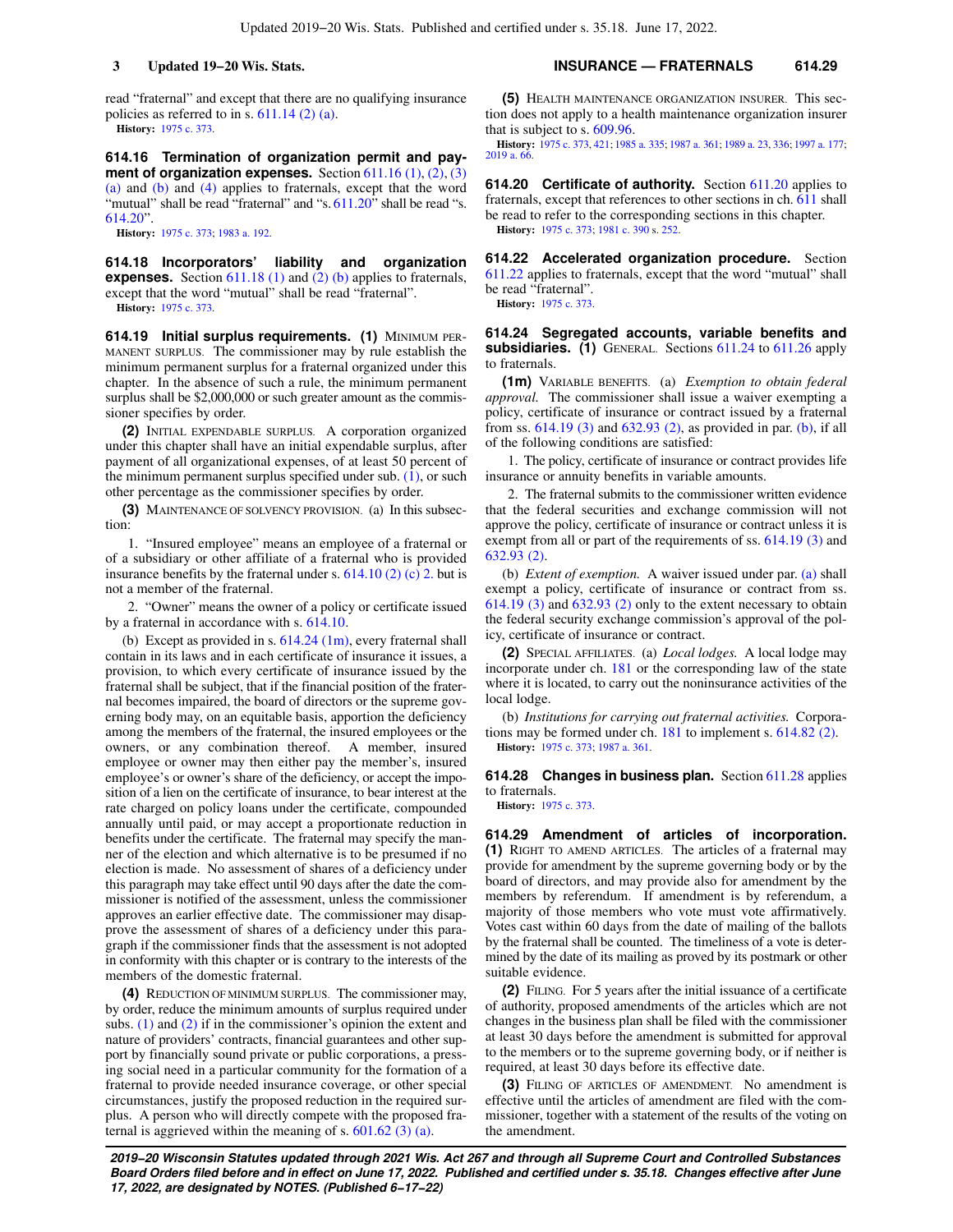read "fraternal" and except that there are no qualifying insurance policies as referred to in s. [611.14 \(2\) \(a\)](https://docs.legis.wisconsin.gov/document/statutes/611.14(2)(a)). **History:** [1975 c. 373](https://docs.legis.wisconsin.gov/document/acts/1975/373).

**614.16 Termination of organization permit and payment of organization expenses.** Section [611.16 \(1\),](https://docs.legis.wisconsin.gov/document/statutes/611.16(1)) [\(2\)](https://docs.legis.wisconsin.gov/document/statutes/611.16(2)), [\(3\)](https://docs.legis.wisconsin.gov/document/statutes/611.16(3)(a)) [\(a\)](https://docs.legis.wisconsin.gov/document/statutes/611.16(3)(a)) and [\(b\)](https://docs.legis.wisconsin.gov/document/statutes/611.16(3)(b)) and [\(4\)](https://docs.legis.wisconsin.gov/document/statutes/611.16(4)) applies to fraternals, except that the word "mutual" shall be read "fraternal" and "s. [611.20"](https://docs.legis.wisconsin.gov/document/statutes/611.20) shall be read "s. [614.20"](https://docs.legis.wisconsin.gov/document/statutes/614.20).

**History:** [1975 c. 373](https://docs.legis.wisconsin.gov/document/acts/1975/373); [1983 a. 192](https://docs.legis.wisconsin.gov/document/acts/1983/192).

**614.18 Incorporators' liability and organization expenses.** Section [611.18 \(1\)](https://docs.legis.wisconsin.gov/document/statutes/611.18(1)) and [\(2\) \(b\)](https://docs.legis.wisconsin.gov/document/statutes/611.18(2)(b)) applies to fraternals, except that the word "mutual" shall be read "fraternal". **History:** [1975 c. 373](https://docs.legis.wisconsin.gov/document/acts/1975/373).

**614.19 Initial surplus requirements. (1)** MINIMUM PER-MANENT SURPLUS. The commissioner may by rule establish the minimum permanent surplus for a fraternal organized under this chapter. In the absence of such a rule, the minimum permanent surplus shall be \$2,000,000 or such greater amount as the commissioner specifies by order.

**(2)** INITIAL EXPENDABLE SURPLUS. A corporation organized under this chapter shall have an initial expendable surplus, after payment of all organizational expenses, of at least 50 percent of the minimum permanent surplus specified under sub.  $(1)$ , or such other percentage as the commissioner specifies by order.

**(3)** MAINTENANCE OF SOLVENCY PROVISION. (a) In this subsection:

1. "Insured employee" means an employee of a fraternal or of a subsidiary or other affiliate of a fraternal who is provided insurance benefits by the fraternal under s.  $614.10$  (2) (c) 2. but is not a member of the fraternal.

2. "Owner" means the owner of a policy or certificate issued by a fraternal in accordance with s. [614.10.](https://docs.legis.wisconsin.gov/document/statutes/614.10)

(b) Except as provided in s. [614.24 \(1m\)](https://docs.legis.wisconsin.gov/document/statutes/614.24(1m)), every fraternal shall contain in its laws and in each certificate of insurance it issues, a provision, to which every certificate of insurance issued by the fraternal shall be subject, that if the financial position of the fraternal becomes impaired, the board of directors or the supreme governing body may, on an equitable basis, apportion the deficiency among the members of the fraternal, the insured employees or the owners, or any combination thereof. A member, insured employee or owner may then either pay the member's, insured employee's or owner's share of the deficiency, or accept the imposition of a lien on the certificate of insurance, to bear interest at the rate charged on policy loans under the certificate, compounded annually until paid, or may accept a proportionate reduction in benefits under the certificate. The fraternal may specify the manner of the election and which alternative is to be presumed if no election is made. No assessment of shares of a deficiency under this paragraph may take effect until 90 days after the date the commissioner is notified of the assessment, unless the commissioner approves an earlier effective date. The commissioner may disapprove the assessment of shares of a deficiency under this paragraph if the commissioner finds that the assessment is not adopted in conformity with this chapter or is contrary to the interests of the members of the domestic fraternal.

**(4)** REDUCTION OF MINIMUM SURPLUS. The commissioner may, by order, reduce the minimum amounts of surplus required under subs. [\(1\)](https://docs.legis.wisconsin.gov/document/statutes/614.19(1)) and [\(2\)](https://docs.legis.wisconsin.gov/document/statutes/614.19(2)) if in the commissioner's opinion the extent and nature of providers' contracts, financial guarantees and other support by financially sound private or public corporations, a pressing social need in a particular community for the formation of a fraternal to provide needed insurance coverage, or other special circumstances, justify the proposed reduction in the required surplus. A person who will directly compete with the proposed fraternal is aggrieved within the meaning of s. [601.62 \(3\) \(a\).](https://docs.legis.wisconsin.gov/document/statutes/601.62(3)(a))

**3 Updated 19−20 Wis. Stats. INSURANCE — FRATERNALS 614.29**

**(5)** HEALTH MAINTENANCE ORGANIZATION INSURER. This section does not apply to a health maintenance organization insurer that is subject to s. [609.96](https://docs.legis.wisconsin.gov/document/statutes/609.96).

**History:** [1975 c. 373,](https://docs.legis.wisconsin.gov/document/acts/1975/373) [421](https://docs.legis.wisconsin.gov/document/acts/1975/421); [1985 a. 335](https://docs.legis.wisconsin.gov/document/acts/1985/335); [1987 a. 361](https://docs.legis.wisconsin.gov/document/acts/1987/361); [1989 a. 23,](https://docs.legis.wisconsin.gov/document/acts/1989/23) [336](https://docs.legis.wisconsin.gov/document/acts/1989/336); [1997 a. 177](https://docs.legis.wisconsin.gov/document/acts/1997/177); [2019 a. 66](https://docs.legis.wisconsin.gov/document/acts/2019/66).

**614.20 Certificate of authority.** Section [611.20](https://docs.legis.wisconsin.gov/document/statutes/611.20) applies to fraternals, except that references to other sections in ch. [611](https://docs.legis.wisconsin.gov/document/statutes/ch.%20611) shall be read to refer to the corresponding sections in this chapter. **History:** [1975 c. 373;](https://docs.legis.wisconsin.gov/document/acts/1975/373) [1981 c. 390](https://docs.legis.wisconsin.gov/document/acts/1981/390) s. [252.](https://docs.legis.wisconsin.gov/document/acts/1981/390,%20s.%20252)

**614.22 Accelerated organization procedure.** Section [611.22](https://docs.legis.wisconsin.gov/document/statutes/611.22) applies to fraternals, except that the word "mutual" shall be read "fraternal". **History:** [1975 c. 373.](https://docs.legis.wisconsin.gov/document/acts/1975/373)

**614.24 Segregated accounts, variable benefits and subsidiaries. (1)** GENERAL. Sections [611.24](https://docs.legis.wisconsin.gov/document/statutes/611.24) to [611.26](https://docs.legis.wisconsin.gov/document/statutes/611.26) apply to fraternals.

**(1m)** VARIABLE BENEFITS. (a) *Exemption to obtain federal approval.* The commissioner shall issue a waiver exempting a policy, certificate of insurance or contract issued by a fraternal from ss. [614.19 \(3\)](https://docs.legis.wisconsin.gov/document/statutes/614.19(3)) and [632.93 \(2\),](https://docs.legis.wisconsin.gov/document/statutes/632.93(2)) as provided in par. [\(b\),](https://docs.legis.wisconsin.gov/document/statutes/614.24(1m)(b)) if all of the following conditions are satisfied:

1. The policy, certificate of insurance or contract provides life insurance or annuity benefits in variable amounts.

2. The fraternal submits to the commissioner written evidence that the federal securities and exchange commission will not approve the policy, certificate of insurance or contract unless it is exempt from all or part of the requirements of ss. [614.19 \(3\)](https://docs.legis.wisconsin.gov/document/statutes/614.19(3)) and [632.93 \(2\).](https://docs.legis.wisconsin.gov/document/statutes/632.93(2))

(b) *Extent of exemption.* A waiver issued under par. [\(a\)](https://docs.legis.wisconsin.gov/document/statutes/614.24(1m)(a)) shall exempt a policy, certificate of insurance or contract from ss. [614.19 \(3\)](https://docs.legis.wisconsin.gov/document/statutes/614.19(3)) and [632.93 \(2\)](https://docs.legis.wisconsin.gov/document/statutes/632.93(2)) only to the extent necessary to obtain the federal security exchange commission's approval of the policy, certificate of insurance or contract.

**(2)** SPECIAL AFFILIATES. (a) *Local lodges.* A local lodge may incorporate under ch. [181](https://docs.legis.wisconsin.gov/document/statutes/ch.%20181) or the corresponding law of the state where it is located, to carry out the noninsurance activities of the local lodge.

(b) *Institutions for carrying out fraternal activities.* Corporations may be formed under ch. [181](https://docs.legis.wisconsin.gov/document/statutes/ch.%20181) to implement s. [614.82 \(2\).](https://docs.legis.wisconsin.gov/document/statutes/614.82(2)) **History:** [1975 c. 373;](https://docs.legis.wisconsin.gov/document/acts/1975/373) [1987 a. 361](https://docs.legis.wisconsin.gov/document/acts/1987/361).

**614.28 Changes in business plan.** Section [611.28](https://docs.legis.wisconsin.gov/document/statutes/611.28) applies to fraternals.

**History:** [1975 c. 373.](https://docs.legis.wisconsin.gov/document/acts/1975/373)

**614.29 Amendment of articles of incorporation. (1)** RIGHT TO AMEND ARTICLES. The articles of a fraternal may provide for amendment by the supreme governing body or by the board of directors, and may provide also for amendment by the members by referendum. If amendment is by referendum, a majority of those members who vote must vote affirmatively. Votes cast within 60 days from the date of mailing of the ballots by the fraternal shall be counted. The timeliness of a vote is determined by the date of its mailing as proved by its postmark or other suitable evidence.

**(2)** FILING. For 5 years after the initial issuance of a certificate of authority, proposed amendments of the articles which are not changes in the business plan shall be filed with the commissioner at least 30 days before the amendment is submitted for approval to the members or to the supreme governing body, or if neither is required, at least 30 days before its effective date.

**(3)** FILING OF ARTICLES OF AMENDMENT. No amendment is effective until the articles of amendment are filed with the commissioner, together with a statement of the results of the voting on the amendment.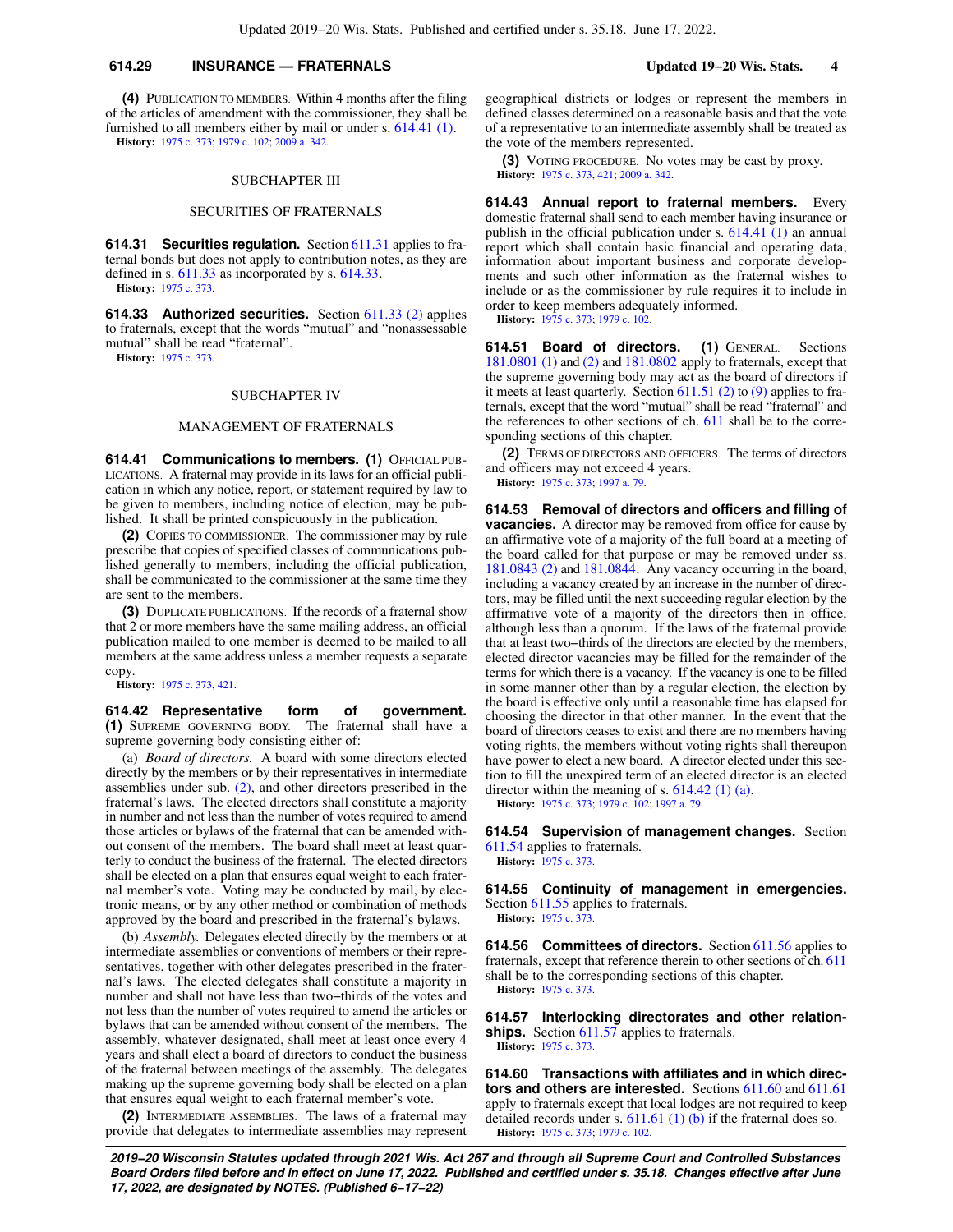## **614.29 INSURANCE — FRATERNALS Updated 19−20 Wis. Stats. 4**

**(4)** PUBLICATION TO MEMBERS. Within 4 months after the filing of the articles of amendment with the commissioner, they shall be furnished to all members either by mail or under s. [614.41 \(1\)](https://docs.legis.wisconsin.gov/document/statutes/614.41(1)). **History:** [1975 c. 373](https://docs.legis.wisconsin.gov/document/acts/1975/373); [1979 c. 102](https://docs.legis.wisconsin.gov/document/acts/1979/102); [2009 a. 342.](https://docs.legis.wisconsin.gov/document/acts/2009/342)

## SUBCHAPTER III

### SECURITIES OF FRATERNALS

**614.31 Securities regulation.** Section [611.31](https://docs.legis.wisconsin.gov/document/statutes/611.31) applies to fraternal bonds but does not apply to contribution notes, as they are defined in s. [611.33](https://docs.legis.wisconsin.gov/document/statutes/611.33) as incorporated by s. [614.33.](https://docs.legis.wisconsin.gov/document/statutes/614.33) **History:** [1975 c. 373](https://docs.legis.wisconsin.gov/document/acts/1975/373).

**614.33 Authorized securities.** Section [611.33 \(2\)](https://docs.legis.wisconsin.gov/document/statutes/611.33(2)) applies to fraternals, except that the words "mutual" and "nonassessable mutual" shall be read "fraternal".

**History:** [1975 c. 373](https://docs.legis.wisconsin.gov/document/acts/1975/373).

#### SUBCHAPTER IV

## MANAGEMENT OF FRATERNALS

**614.41 Communications to members. (1)** OFFICIAL PUB-LICATIONS. A fraternal may provide in its laws for an official publication in which any notice, report, or statement required by law to be given to members, including notice of election, may be published. It shall be printed conspicuously in the publication.

**(2)** COPIES TO COMMISSIONER. The commissioner may by rule prescribe that copies of specified classes of communications published generally to members, including the official publication, shall be communicated to the commissioner at the same time they are sent to the members.

**(3)** DUPLICATE PUBLICATIONS. If the records of a fraternal show that 2 or more members have the same mailing address, an official publication mailed to one member is deemed to be mailed to all members at the same address unless a member requests a separate copy.

**History:** [1975 c. 373](https://docs.legis.wisconsin.gov/document/acts/1975/373), [421](https://docs.legis.wisconsin.gov/document/acts/1975/421).

**614.42 Representative form of government. (1)** SUPREME GOVERNING BODY. The fraternal shall have a supreme governing body consisting either of:

(a) *Board of directors.* A board with some directors elected directly by the members or by their representatives in intermediate assemblies under sub. [\(2\)](https://docs.legis.wisconsin.gov/document/statutes/614.42(2)), and other directors prescribed in the fraternal's laws. The elected directors shall constitute a majority in number and not less than the number of votes required to amend those articles or bylaws of the fraternal that can be amended without consent of the members. The board shall meet at least quarterly to conduct the business of the fraternal. The elected directors shall be elected on a plan that ensures equal weight to each fraternal member's vote. Voting may be conducted by mail, by electronic means, or by any other method or combination of methods approved by the board and prescribed in the fraternal's bylaws.

(b) *Assembly.* Delegates elected directly by the members or at intermediate assemblies or conventions of members or their representatives, together with other delegates prescribed in the fraternal's laws. The elected delegates shall constitute a majority in number and shall not have less than two−thirds of the votes and not less than the number of votes required to amend the articles or bylaws that can be amended without consent of the members. The assembly, whatever designated, shall meet at least once every 4 years and shall elect a board of directors to conduct the business of the fraternal between meetings of the assembly. The delegates making up the supreme governing body shall be elected on a plan that ensures equal weight to each fraternal member's vote.

**(2)** INTERMEDIATE ASSEMBLIES. The laws of a fraternal may provide that delegates to intermediate assemblies may represent geographical districts or lodges or represent the members in defined classes determined on a reasonable basis and that the vote of a representative to an intermediate assembly shall be treated as the vote of the members represented.

**(3)** VOTING PROCEDURE. No votes may be cast by proxy. **History:** [1975 c. 373,](https://docs.legis.wisconsin.gov/document/acts/1975/373) [421;](https://docs.legis.wisconsin.gov/document/acts/1975/421) [2009 a. 342](https://docs.legis.wisconsin.gov/document/acts/2009/342).

**614.43 Annual report to fraternal members.** Every domestic fraternal shall send to each member having insurance or publish in the official publication under s. [614.41 \(1\)](https://docs.legis.wisconsin.gov/document/statutes/614.41(1)) an annual report which shall contain basic financial and operating data, information about important business and corporate developments and such other information as the fraternal wishes to include or as the commissioner by rule requires it to include in order to keep members adequately informed.

**History:** [1975 c. 373;](https://docs.legis.wisconsin.gov/document/acts/1975/373) [1979 c. 102](https://docs.legis.wisconsin.gov/document/acts/1979/102).

**614.51 Board of directors. (1)** GENERAL. Sections [181.0801 \(1\)](https://docs.legis.wisconsin.gov/document/statutes/181.0801(1)) and [\(2\)](https://docs.legis.wisconsin.gov/document/statutes/181.0801(2)) and [181.0802](https://docs.legis.wisconsin.gov/document/statutes/181.0802) apply to fraternals, except that the supreme governing body may act as the board of directors if it meets at least quarterly. Section [611.51 \(2\)](https://docs.legis.wisconsin.gov/document/statutes/611.51(2)) to [\(9\)](https://docs.legis.wisconsin.gov/document/statutes/611.51(9)) applies to fraternals, except that the word "mutual" shall be read "fraternal" and the references to other sections of ch. [611](https://docs.legis.wisconsin.gov/document/statutes/ch.%20611) shall be to the corresponding sections of this chapter.

**(2)** TERMS OF DIRECTORS AND OFFICERS. The terms of directors and officers may not exceed 4 years. **History:** [1975 c. 373;](https://docs.legis.wisconsin.gov/document/acts/1975/373) [1997 a. 79.](https://docs.legis.wisconsin.gov/document/acts/1997/79)

**614.53 Removal of directors and officers and filling of vacancies.** A director may be removed from office for cause by an affirmative vote of a majority of the full board at a meeting of the board called for that purpose or may be removed under ss. [181.0843 \(2\)](https://docs.legis.wisconsin.gov/document/statutes/181.0843(2)) and [181.0844.](https://docs.legis.wisconsin.gov/document/statutes/181.0844) Any vacancy occurring in the board, including a vacancy created by an increase in the number of directors, may be filled until the next succeeding regular election by the affirmative vote of a majority of the directors then in office, although less than a quorum. If the laws of the fraternal provide that at least two−thirds of the directors are elected by the members, elected director vacancies may be filled for the remainder of the terms for which there is a vacancy. If the vacancy is one to be filled in some manner other than by a regular election, the election by the board is effective only until a reasonable time has elapsed for choosing the director in that other manner. In the event that the board of directors ceases to exist and there are no members having voting rights, the members without voting rights shall thereupon have power to elect a new board. A director elected under this section to fill the unexpired term of an elected director is an elected director within the meaning of s. [614.42 \(1\) \(a\)](https://docs.legis.wisconsin.gov/document/statutes/614.42(1)(a)).

**History:** [1975 c. 373;](https://docs.legis.wisconsin.gov/document/acts/1975/373) [1979 c. 102](https://docs.legis.wisconsin.gov/document/acts/1979/102); [1997 a. 79](https://docs.legis.wisconsin.gov/document/acts/1997/79).

**614.54 Supervision of management changes.** Section [611.54](https://docs.legis.wisconsin.gov/document/statutes/611.54) applies to fraternals.

**History:** [1975 c. 373.](https://docs.legis.wisconsin.gov/document/acts/1975/373)

**614.55 Continuity of management in emergencies.** Section [611.55](https://docs.legis.wisconsin.gov/document/statutes/611.55) applies to fraternals. **History:** [1975 c. 373.](https://docs.legis.wisconsin.gov/document/acts/1975/373)

**614.56 Committees of directors.** Section [611.56](https://docs.legis.wisconsin.gov/document/statutes/611.56) applies to fraternals, except that reference therein to other sections of ch. [611](https://docs.legis.wisconsin.gov/document/statutes/ch.%20611) shall be to the corresponding sections of this chapter. **History:** [1975 c. 373.](https://docs.legis.wisconsin.gov/document/acts/1975/373)

**614.57 Interlocking directorates and other relationships.** Section [611.57](https://docs.legis.wisconsin.gov/document/statutes/611.57) applies to fraternals. **History:** [1975 c. 373.](https://docs.legis.wisconsin.gov/document/acts/1975/373)

**614.60 Transactions with affiliates and in which directors and others are interested.** Sections [611.60](https://docs.legis.wisconsin.gov/document/statutes/611.60) and [611.61](https://docs.legis.wisconsin.gov/document/statutes/611.61) apply to fraternals except that local lodges are not required to keep detailed records under s.  $611.61$  (1) (b) if the fraternal does so. **History:** [1975 c. 373;](https://docs.legis.wisconsin.gov/document/acts/1975/373) [1979 c. 102](https://docs.legis.wisconsin.gov/document/acts/1979/102).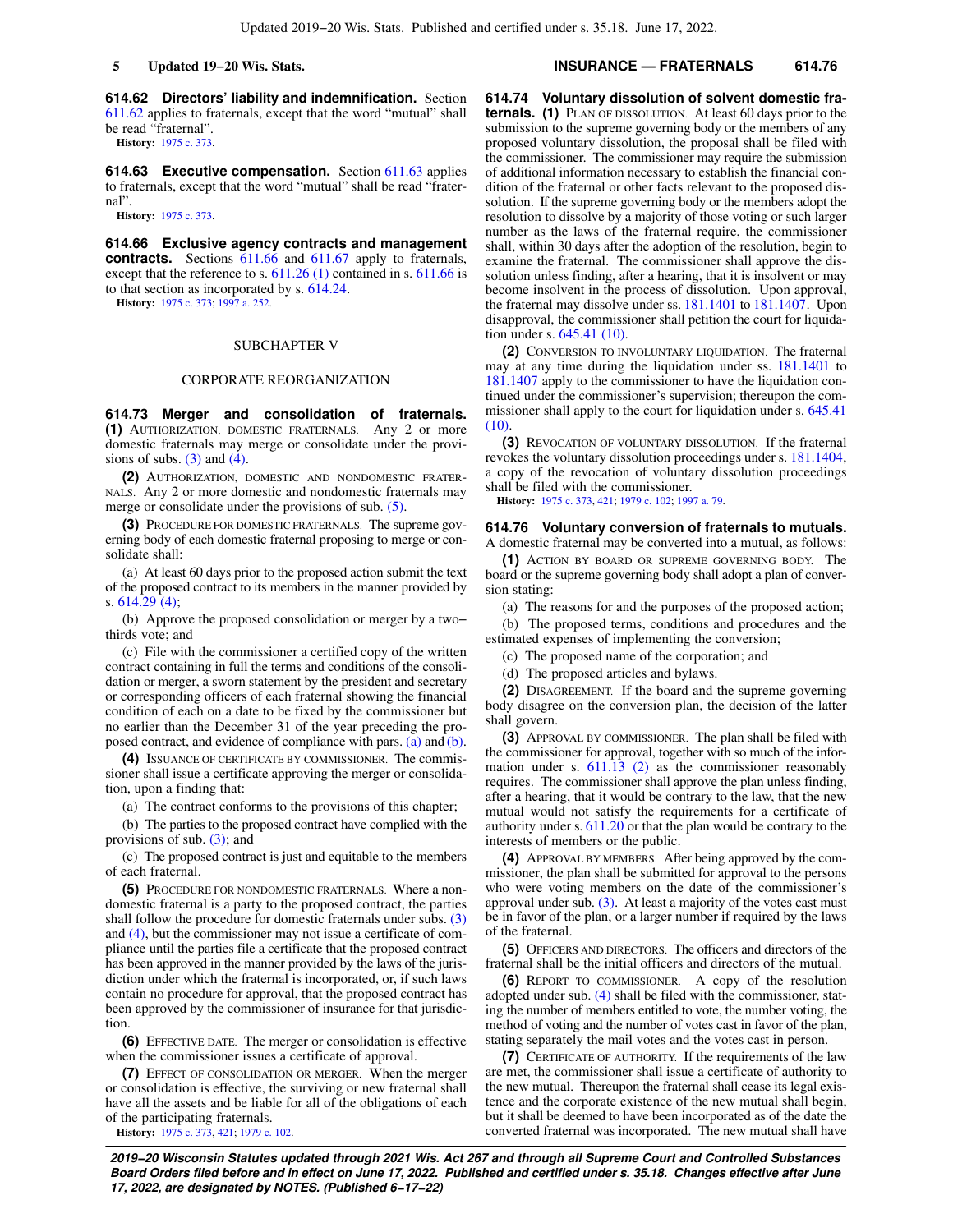**614.62 Directors' liability and indemnification.** Section [611.62](https://docs.legis.wisconsin.gov/document/statutes/611.62) applies to fraternals, except that the word "mutual" shall be read "fraternal".

**History:** [1975 c. 373](https://docs.legis.wisconsin.gov/document/acts/1975/373).

**614.63 Executive compensation.** Section [611.63](https://docs.legis.wisconsin.gov/document/statutes/611.63) applies to fraternals, except that the word "mutual" shall be read "fraternal".

**History:** [1975 c. 373](https://docs.legis.wisconsin.gov/document/acts/1975/373).

**614.66 Exclusive agency contracts and management** contracts. Sections [611.66](https://docs.legis.wisconsin.gov/document/statutes/611.66) and [611.67](https://docs.legis.wisconsin.gov/document/statutes/611.67) apply to fraternals, except that the reference to s. [611.26 \(1\)](https://docs.legis.wisconsin.gov/document/statutes/611.26(1)) contained in s. [611.66](https://docs.legis.wisconsin.gov/document/statutes/611.66) is to that section as incorporated by s. [614.24.](https://docs.legis.wisconsin.gov/document/statutes/614.24)

**History:** [1975 c. 373](https://docs.legis.wisconsin.gov/document/acts/1975/373); [1997 a. 252](https://docs.legis.wisconsin.gov/document/acts/1997/252).

### SUBCHAPTER V

#### CORPORATE REORGANIZATION

**614.73 Merger and consolidation of fraternals. (1)** AUTHORIZATION, DOMESTIC FRATERNALS. Any 2 or more domestic fraternals may merge or consolidate under the provisions of subs.  $(3)$  and  $(4)$ .

**(2)** AUTHORIZATION, DOMESTIC AND NONDOMESTIC FRATER-NALS. Any 2 or more domestic and nondomestic fraternals may merge or consolidate under the provisions of sub. [\(5\)](https://docs.legis.wisconsin.gov/document/statutes/614.73(5)).

**(3)** PROCEDURE FOR DOMESTIC FRATERNALS. The supreme governing body of each domestic fraternal proposing to merge or consolidate shall:

(a) At least 60 days prior to the proposed action submit the text of the proposed contract to its members in the manner provided by s. [614.29 \(4\);](https://docs.legis.wisconsin.gov/document/statutes/614.29(4))

(b) Approve the proposed consolidation or merger by a two− thirds vote; and

(c) File with the commissioner a certified copy of the written contract containing in full the terms and conditions of the consolidation or merger, a sworn statement by the president and secretary or corresponding officers of each fraternal showing the financial condition of each on a date to be fixed by the commissioner but no earlier than the December 31 of the year preceding the proposed contract, and evidence of compliance with pars. [\(a\)](https://docs.legis.wisconsin.gov/document/statutes/614.73(3)(a)) and [\(b\).](https://docs.legis.wisconsin.gov/document/statutes/614.73(3)(b))

**(4)** ISSUANCE OF CERTIFICATE BY COMMISSIONER. The commissioner shall issue a certificate approving the merger or consolidation, upon a finding that:

(a) The contract conforms to the provisions of this chapter;

(b) The parties to the proposed contract have complied with the provisions of sub. [\(3\)](https://docs.legis.wisconsin.gov/document/statutes/614.73(3)); and

(c) The proposed contract is just and equitable to the members of each fraternal.

**(5)** PROCEDURE FOR NONDOMESTIC FRATERNALS. Where a nondomestic fraternal is a party to the proposed contract, the parties shall follow the procedure for domestic fraternals under subs. [\(3\)](https://docs.legis.wisconsin.gov/document/statutes/614.73(3)) and [\(4\)](https://docs.legis.wisconsin.gov/document/statutes/614.73(4)), but the commissioner may not issue a certificate of compliance until the parties file a certificate that the proposed contract has been approved in the manner provided by the laws of the jurisdiction under which the fraternal is incorporated, or, if such laws contain no procedure for approval, that the proposed contract has been approved by the commissioner of insurance for that jurisdiction.

**(6)** EFFECTIVE DATE. The merger or consolidation is effective when the commissioner issues a certificate of approval.

**(7)** EFFECT OF CONSOLIDATION OR MERGER. When the merger or consolidation is effective, the surviving or new fraternal shall have all the assets and be liable for all of the obligations of each of the participating fraternals.

**History:** [1975 c. 373](https://docs.legis.wisconsin.gov/document/acts/1975/373), [421](https://docs.legis.wisconsin.gov/document/acts/1975/421); [1979 c. 102](https://docs.legis.wisconsin.gov/document/acts/1979/102).

## **5 Updated 19−20 Wis. Stats. INSURANCE — FRATERNALS 614.76**

**614.74 Voluntary dissolution of solvent domestic fraternals. (1)** PLAN OF DISSOLUTION. At least 60 days prior to the submission to the supreme governing body or the members of any proposed voluntary dissolution, the proposal shall be filed with the commissioner. The commissioner may require the submission of additional information necessary to establish the financial condition of the fraternal or other facts relevant to the proposed dissolution. If the supreme governing body or the members adopt the resolution to dissolve by a majority of those voting or such larger number as the laws of the fraternal require, the commissioner shall, within 30 days after the adoption of the resolution, begin to examine the fraternal. The commissioner shall approve the dissolution unless finding, after a hearing, that it is insolvent or may become insolvent in the process of dissolution. Upon approval, the fraternal may dissolve under ss. [181.1401](https://docs.legis.wisconsin.gov/document/statutes/181.1401) to [181.1407](https://docs.legis.wisconsin.gov/document/statutes/181.1407). Upon disapproval, the commissioner shall petition the court for liquidation under s. [645.41 \(10\).](https://docs.legis.wisconsin.gov/document/statutes/645.41(10))

**(2)** CONVERSION TO INVOLUNTARY LIQUIDATION. The fraternal may at any time during the liquidation under ss. [181.1401](https://docs.legis.wisconsin.gov/document/statutes/181.1401) to [181.1407](https://docs.legis.wisconsin.gov/document/statutes/181.1407) apply to the commissioner to have the liquidation continued under the commissioner's supervision; thereupon the commissioner shall apply to the court for liquidation under s. [645.41](https://docs.legis.wisconsin.gov/document/statutes/645.41(10))  $(10)$ 

**(3)** REVOCATION OF VOLUNTARY DISSOLUTION. If the fraternal revokes the voluntary dissolution proceedings under s. [181.1404,](https://docs.legis.wisconsin.gov/document/statutes/181.1404) a copy of the revocation of voluntary dissolution proceedings shall be filed with the commissioner.

**History:** [1975 c. 373,](https://docs.legis.wisconsin.gov/document/acts/1975/373) [421;](https://docs.legis.wisconsin.gov/document/acts/1975/421) [1979 c. 102](https://docs.legis.wisconsin.gov/document/acts/1979/102); [1997 a. 79](https://docs.legis.wisconsin.gov/document/acts/1997/79).

**614.76 Voluntary conversion of fraternals to mutuals.** A domestic fraternal may be converted into a mutual, as follows:

**(1)** ACTION BY BOARD OR SUPREME GOVERNING BODY. The board or the supreme governing body shall adopt a plan of conversion stating:

(a) The reasons for and the purposes of the proposed action;

(b) The proposed terms, conditions and procedures and the estimated expenses of implementing the conversion;

(c) The proposed name of the corporation; and

(d) The proposed articles and bylaws.

**(2)** DISAGREEMENT. If the board and the supreme governing body disagree on the conversion plan, the decision of the latter shall govern.

**(3)** APPROVAL BY COMMISSIONER. The plan shall be filed with the commissioner for approval, together with so much of the information under s. [611.13 \(2\)](https://docs.legis.wisconsin.gov/document/statutes/611.13(2)) as the commissioner reasonably requires. The commissioner shall approve the plan unless finding, after a hearing, that it would be contrary to the law, that the new mutual would not satisfy the requirements for a certificate of authority under s. [611.20](https://docs.legis.wisconsin.gov/document/statutes/611.20) or that the plan would be contrary to the interests of members or the public.

**(4)** APPROVAL BY MEMBERS. After being approved by the commissioner, the plan shall be submitted for approval to the persons who were voting members on the date of the commissioner's approval under sub.  $(3)$ . At least a majority of the votes cast must be in favor of the plan, or a larger number if required by the laws of the fraternal.

**(5)** OFFICERS AND DIRECTORS. The officers and directors of the fraternal shall be the initial officers and directors of the mutual.

**(6)** REPORT TO COMMISSIONER. A copy of the resolution adopted under sub. [\(4\)](https://docs.legis.wisconsin.gov/document/statutes/614.76(4)) shall be filed with the commissioner, stating the number of members entitled to vote, the number voting, the method of voting and the number of votes cast in favor of the plan, stating separately the mail votes and the votes cast in person.

**(7)** CERTIFICATE OF AUTHORITY. If the requirements of the law are met, the commissioner shall issue a certificate of authority to the new mutual. Thereupon the fraternal shall cease its legal existence and the corporate existence of the new mutual shall begin, but it shall be deemed to have been incorporated as of the date the converted fraternal was incorporated. The new mutual shall have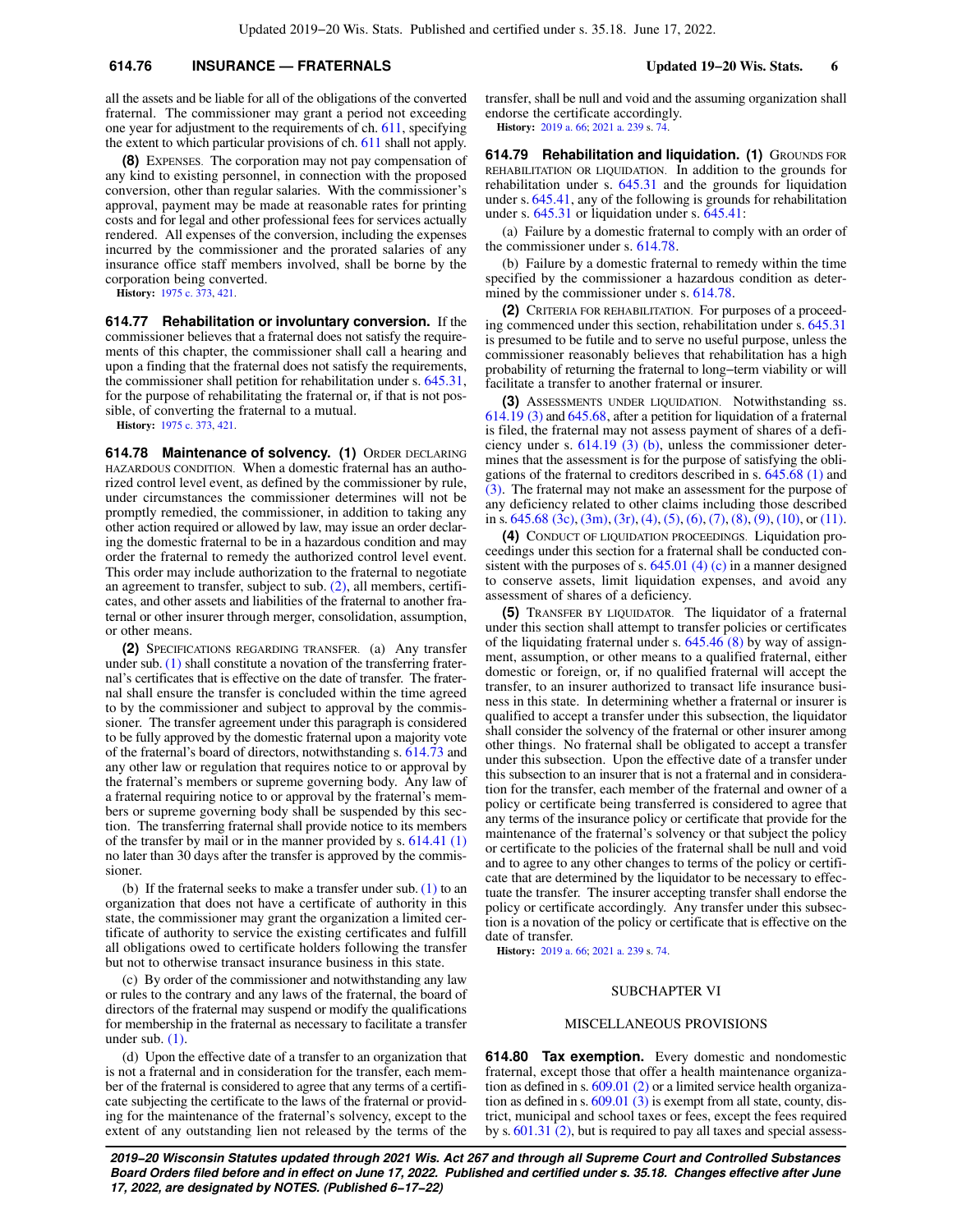# **614.76 INSURANCE — FRATERNALS Updated 19−20 Wis. Stats. 6**

all the assets and be liable for all of the obligations of the converted fraternal. The commissioner may grant a period not exceeding one year for adjustment to the requirements of ch. [611](https://docs.legis.wisconsin.gov/document/statutes/ch.%20611), specifying the extent to which particular provisions of ch. [611](https://docs.legis.wisconsin.gov/document/statutes/ch.%20611) shall not apply.

**(8)** EXPENSES. The corporation may not pay compensation of any kind to existing personnel, in connection with the proposed conversion, other than regular salaries. With the commissioner's approval, payment may be made at reasonable rates for printing costs and for legal and other professional fees for services actually rendered. All expenses of the conversion, including the expenses incurred by the commissioner and the prorated salaries of any insurance office staff members involved, shall be borne by the corporation being converted.

**History:** [1975 c. 373](https://docs.legis.wisconsin.gov/document/acts/1975/373), [421](https://docs.legis.wisconsin.gov/document/acts/1975/421).

**614.77 Rehabilitation or involuntary conversion.** If the commissioner believes that a fraternal does not satisfy the requirements of this chapter, the commissioner shall call a hearing and upon a finding that the fraternal does not satisfy the requirements, the commissioner shall petition for rehabilitation under s. [645.31,](https://docs.legis.wisconsin.gov/document/statutes/645.31) for the purpose of rehabilitating the fraternal or, if that is not possible, of converting the fraternal to a mutual.

**History:** [1975 c. 373](https://docs.legis.wisconsin.gov/document/acts/1975/373), [421](https://docs.legis.wisconsin.gov/document/acts/1975/421).

**614.78 Maintenance of solvency. (1)** ORDER DECLARING HAZARDOUS CONDITION. When a domestic fraternal has an authorized control level event, as defined by the commissioner by rule, under circumstances the commissioner determines will not be promptly remedied, the commissioner, in addition to taking any other action required or allowed by law, may issue an order declaring the domestic fraternal to be in a hazardous condition and may order the fraternal to remedy the authorized control level event. This order may include authorization to the fraternal to negotiate an agreement to transfer, subject to sub. [\(2\),](https://docs.legis.wisconsin.gov/document/statutes/614.78(2)) all members, certificates, and other assets and liabilities of the fraternal to another fraternal or other insurer through merger, consolidation, assumption, or other means.

**(2)** SPECIFICATIONS REGARDING TRANSFER. (a) Any transfer under sub. [\(1\)](https://docs.legis.wisconsin.gov/document/statutes/614.78(1)) shall constitute a novation of the transferring fraternal's certificates that is effective on the date of transfer. The fraternal shall ensure the transfer is concluded within the time agreed to by the commissioner and subject to approval by the commissioner. The transfer agreement under this paragraph is considered to be fully approved by the domestic fraternal upon a majority vote of the fraternal's board of directors, notwithstanding s. [614.73](https://docs.legis.wisconsin.gov/document/statutes/614.73) and any other law or regulation that requires notice to or approval by the fraternal's members or supreme governing body. Any law of a fraternal requiring notice to or approval by the fraternal's members or supreme governing body shall be suspended by this section. The transferring fraternal shall provide notice to its members of the transfer by mail or in the manner provided by s. [614.41 \(1\)](https://docs.legis.wisconsin.gov/document/statutes/614.41(1)) no later than 30 days after the transfer is approved by the commissioner.

(b) If the fraternal seeks to make a transfer under sub. [\(1\)](https://docs.legis.wisconsin.gov/document/statutes/614.78(1)) to an organization that does not have a certificate of authority in this state, the commissioner may grant the organization a limited certificate of authority to service the existing certificates and fulfill all obligations owed to certificate holders following the transfer but not to otherwise transact insurance business in this state.

(c) By order of the commissioner and notwithstanding any law or rules to the contrary and any laws of the fraternal, the board of directors of the fraternal may suspend or modify the qualifications for membership in the fraternal as necessary to facilitate a transfer under sub. [\(1\)](https://docs.legis.wisconsin.gov/document/statutes/614.78(1)).

(d) Upon the effective date of a transfer to an organization that is not a fraternal and in consideration for the transfer, each member of the fraternal is considered to agree that any terms of a certificate subjecting the certificate to the laws of the fraternal or providing for the maintenance of the fraternal's solvency, except to the extent of any outstanding lien not released by the terms of the transfer, shall be null and void and the assuming organization shall endorse the certificate accordingly. **History:** [2019 a. 66](https://docs.legis.wisconsin.gov/document/acts/2019/66); [2021 a. 239](https://docs.legis.wisconsin.gov/document/acts/2021/239) s. [74.](https://docs.legis.wisconsin.gov/document/acts/2021/239,%20s.%2074)

**614.79 Rehabilitation and liquidation. (1)** GROUNDS FOR REHABILITATION OR LIQUIDATION. In addition to the grounds for rehabilitation under s. [645.31](https://docs.legis.wisconsin.gov/document/statutes/645.31) and the grounds for liquidation under s. [645.41,](https://docs.legis.wisconsin.gov/document/statutes/645.41) any of the following is grounds for rehabilitation under s. [645.31](https://docs.legis.wisconsin.gov/document/statutes/645.31) or liquidation under s. [645.41](https://docs.legis.wisconsin.gov/document/statutes/645.41):

(a) Failure by a domestic fraternal to comply with an order of the commissioner under s. [614.78](https://docs.legis.wisconsin.gov/document/statutes/614.78).

(b) Failure by a domestic fraternal to remedy within the time specified by the commissioner a hazardous condition as deter-mined by the commissioner under s. [614.78](https://docs.legis.wisconsin.gov/document/statutes/614.78).

**(2)** CRITERIA FOR REHABILITATION. For purposes of a proceeding commenced under this section, rehabilitation under s. [645.31](https://docs.legis.wisconsin.gov/document/statutes/645.31) is presumed to be futile and to serve no useful purpose, unless the commissioner reasonably believes that rehabilitation has a high probability of returning the fraternal to long−term viability or will facilitate a transfer to another fraternal or insurer.

**(3)** ASSESSMENTS UNDER LIQUIDATION. Notwithstanding ss. [614.19 \(3\)](https://docs.legis.wisconsin.gov/document/statutes/614.19(3)) and [645.68,](https://docs.legis.wisconsin.gov/document/statutes/645.68) after a petition for liquidation of a fraternal is filed, the fraternal may not assess payment of shares of a deficiency under s. [614.19 \(3\) \(b\),](https://docs.legis.wisconsin.gov/document/statutes/614.19(3)(b)) unless the commissioner determines that the assessment is for the purpose of satisfying the obligations of the fraternal to creditors described in s. [645.68 \(1\)](https://docs.legis.wisconsin.gov/document/statutes/645.68(1)) and [\(3\).](https://docs.legis.wisconsin.gov/document/statutes/645.68(3)) The fraternal may not make an assessment for the purpose of any deficiency related to other claims including those described in s. [645.68 \(3c\)](https://docs.legis.wisconsin.gov/document/statutes/645.68(3c)), [\(3m\),](https://docs.legis.wisconsin.gov/document/statutes/645.68(3m)) [\(3r\)](https://docs.legis.wisconsin.gov/document/statutes/645.68(3r)), [\(4\),](https://docs.legis.wisconsin.gov/document/statutes/645.68(4)) [\(5\)](https://docs.legis.wisconsin.gov/document/statutes/645.68(5)), [\(6\),](https://docs.legis.wisconsin.gov/document/statutes/645.68(6)) [\(7\)](https://docs.legis.wisconsin.gov/document/statutes/645.68(7)), [\(8\),](https://docs.legis.wisconsin.gov/document/statutes/645.68(8)) [\(9\)](https://docs.legis.wisconsin.gov/document/statutes/645.68(9)), [\(10\)](https://docs.legis.wisconsin.gov/document/statutes/645.68(10)), or [\(11\).](https://docs.legis.wisconsin.gov/document/statutes/645.68(11))

**(4)** CONDUCT OF LIQUIDATION PROCEEDINGS. Liquidation proceedings under this section for a fraternal shall be conducted con-sistent with the purposes of s. [645.01 \(4\) \(c\)](https://docs.legis.wisconsin.gov/document/statutes/645.01(4)(c)) in a manner designed to conserve assets, limit liquidation expenses, and avoid any assessment of shares of a deficiency.

**(5)** TRANSFER BY LIQUIDATOR. The liquidator of a fraternal under this section shall attempt to transfer policies or certificates of the liquidating fraternal under s. [645.46 \(8\)](https://docs.legis.wisconsin.gov/document/statutes/645.46(8)) by way of assignment, assumption, or other means to a qualified fraternal, either domestic or foreign, or, if no qualified fraternal will accept the transfer, to an insurer authorized to transact life insurance business in this state. In determining whether a fraternal or insurer is qualified to accept a transfer under this subsection, the liquidator shall consider the solvency of the fraternal or other insurer among other things. No fraternal shall be obligated to accept a transfer under this subsection. Upon the effective date of a transfer under this subsection to an insurer that is not a fraternal and in consideration for the transfer, each member of the fraternal and owner of a policy or certificate being transferred is considered to agree that any terms of the insurance policy or certificate that provide for the maintenance of the fraternal's solvency or that subject the policy or certificate to the policies of the fraternal shall be null and void and to agree to any other changes to terms of the policy or certificate that are determined by the liquidator to be necessary to effectuate the transfer. The insurer accepting transfer shall endorse the policy or certificate accordingly. Any transfer under this subsection is a novation of the policy or certificate that is effective on the date of transfer.

**History:** [2019 a. 66](https://docs.legis.wisconsin.gov/document/acts/2019/66); [2021 a. 239](https://docs.legis.wisconsin.gov/document/acts/2021/239) s. [74.](https://docs.legis.wisconsin.gov/document/acts/2021/239,%20s.%2074)

#### SUBCHAPTER VI

### MISCELLANEOUS PROVISIONS

**614.80 Tax exemption.** Every domestic and nondomestic fraternal, except those that offer a health maintenance organization as defined in s. [609.01 \(2\)](https://docs.legis.wisconsin.gov/document/statutes/609.01(2)) or a limited service health organization as defined in s. [609.01 \(3\)](https://docs.legis.wisconsin.gov/document/statutes/609.01(3)) is exempt from all state, county, district, municipal and school taxes or fees, except the fees required by s. [601.31 \(2\)](https://docs.legis.wisconsin.gov/document/statutes/601.31(2)), but is required to pay all taxes and special assess-